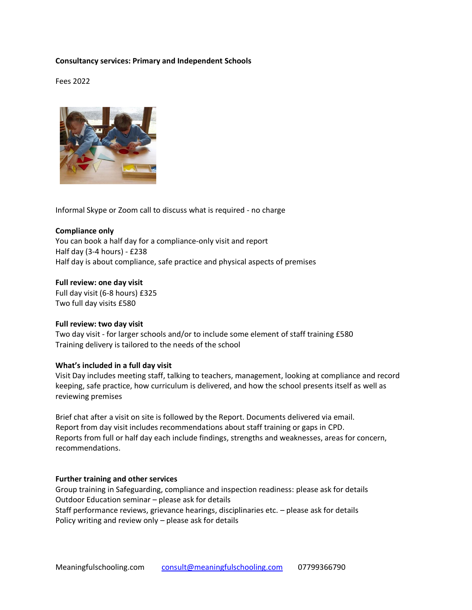# **Consultancy services: Primary and Independent Schools**

Fees 2022



Informal Skype or Zoom call to discuss what is required - no charge

# **Compliance only** You can book a half day for a compliance-only visit and report Half day (3-4 hours) - £238 Half day is about compliance, safe practice and physical aspects of premises

**Full review: one day visit**

Full day visit (6-8 hours) £325 Two full day visits £580

### **Full review: two day visit**

Two day visit - for larger schools and/or to include some element of staff training £580 Training delivery is tailored to the needs of the school

### **What's included in a full day visit**

Visit Day includes meeting staff, talking to teachers, management, looking at compliance and record keeping, safe practice, how curriculum is delivered, and how the school presents itself as well as reviewing premises

Brief chat after a visit on site is followed by the Report. Documents delivered via email. Report from day visit includes recommendations about staff training or gaps in CPD. Reports from full or half day each include findings, strengths and weaknesses, areas for concern, recommendations.

### **Further training and other services**

Group training in Safeguarding, compliance and inspection readiness: please ask for details Outdoor Education seminar – please ask for details Staff performance reviews, grievance hearings, disciplinaries etc. – please ask for details Policy writing and review only – please ask for details